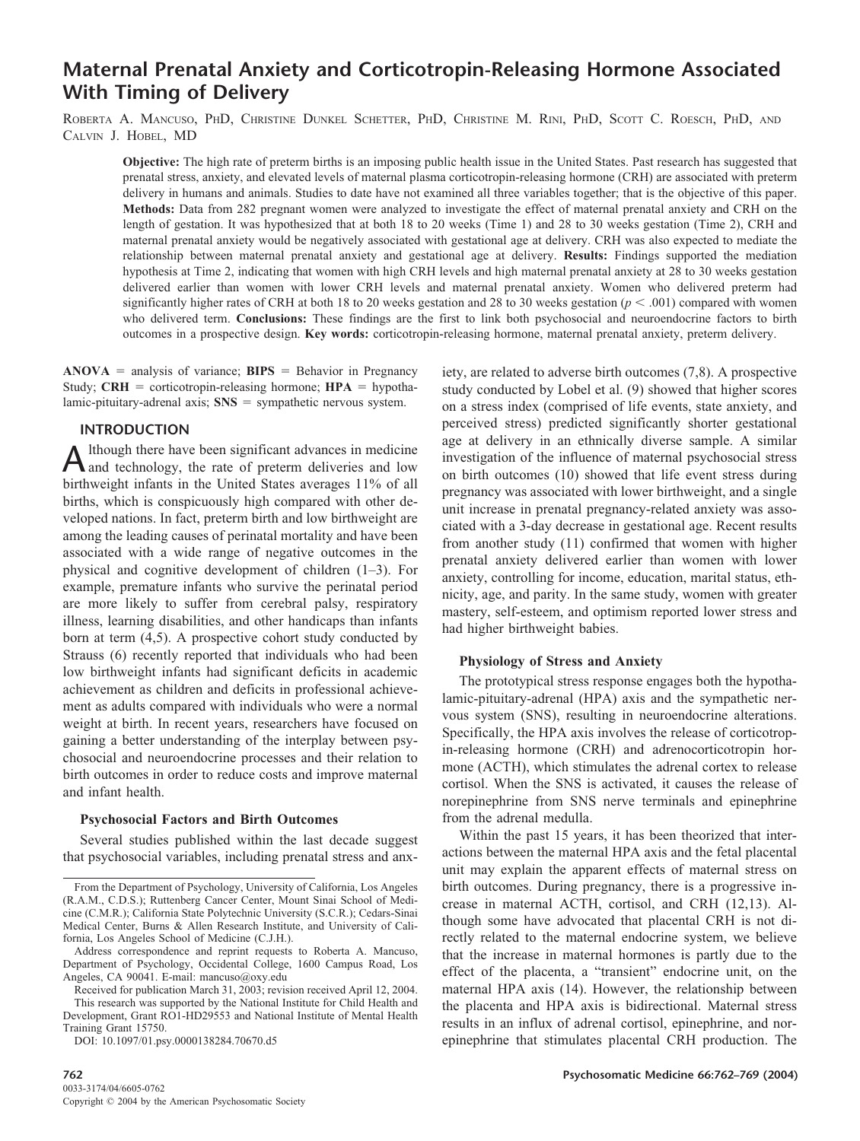# **Maternal Prenatal Anxiety and Corticotropin-Releasing Hormone Associated With Timing of Delivery**

ROBERTA A. MANCUSO, PHD, CHRISTINE DUNKEL SCHETTER, PHD, CHRISTINE M. RINI, PHD, SCOTT C. ROESCH, PHD, AND CALVIN J. HOBEL, MD

**Objective:** The high rate of preterm births is an imposing public health issue in the United States. Past research has suggested that prenatal stress, anxiety, and elevated levels of maternal plasma corticotropin-releasing hormone (CRH) are associated with preterm delivery in humans and animals. Studies to date have not examined all three variables together; that is the objective of this paper. **Methods:** Data from 282 pregnant women were analyzed to investigate the effect of maternal prenatal anxiety and CRH on the length of gestation. It was hypothesized that at both 18 to 20 weeks (Time 1) and 28 to 30 weeks gestation (Time 2), CRH and maternal prenatal anxiety would be negatively associated with gestational age at delivery. CRH was also expected to mediate the relationship between maternal prenatal anxiety and gestational age at delivery. **Results:** Findings supported the mediation hypothesis at Time 2, indicating that women with high CRH levels and high maternal prenatal anxiety at 28 to 30 weeks gestation delivered earlier than women with lower CRH levels and maternal prenatal anxiety. Women who delivered preterm had significantly higher rates of CRH at both 18 to 20 weeks gestation and 28 to 30 weeks gestation ( $p < .001$ ) compared with women who delivered term. **Conclusions:** These findings are the first to link both psychosocial and neuroendocrine factors to birth outcomes in a prospective design. **Key words:** corticotropin-releasing hormone, maternal prenatal anxiety, preterm delivery.

 $ANOVA =$  analysis of variance;  $BIPS =$  Behavior in Pregnancy Study;  $\text{CRH}$  = corticotropin-releasing hormone;  $\text{HPA}$  = hypothalamic-pituitary-adrenal axis; **SNS** = sympathetic nervous system.

## **INTRODUCTION**

A lthough there have been significant advances in medicine<br>and technology, the rate of preterm deliveries and low birthweight infants in the United States averages 11% of all births, which is conspicuously high compared with other developed nations. In fact, preterm birth and low birthweight are among the leading causes of perinatal mortality and have been associated with a wide range of negative outcomes in the physical and cognitive development of children (1–3). For example, premature infants who survive the perinatal period are more likely to suffer from cerebral palsy, respiratory illness, learning disabilities, and other handicaps than infants born at term (4,5). A prospective cohort study conducted by Strauss (6) recently reported that individuals who had been low birthweight infants had significant deficits in academic achievement as children and deficits in professional achievement as adults compared with individuals who were a normal weight at birth. In recent years, researchers have focused on gaining a better understanding of the interplay between psychosocial and neuroendocrine processes and their relation to birth outcomes in order to reduce costs and improve maternal and infant health.

## **Psychosocial Factors and Birth Outcomes**

Several studies published within the last decade suggest that psychosocial variables, including prenatal stress and anx-

DOI: 10.1097/01.psy.0000138284.70670.d5

iety, are related to adverse birth outcomes (7,8). A prospective study conducted by Lobel et al. (9) showed that higher scores on a stress index (comprised of life events, state anxiety, and perceived stress) predicted significantly shorter gestational age at delivery in an ethnically diverse sample. A similar investigation of the influence of maternal psychosocial stress on birth outcomes (10) showed that life event stress during pregnancy was associated with lower birthweight, and a single unit increase in prenatal pregnancy-related anxiety was associated with a 3-day decrease in gestational age. Recent results from another study (11) confirmed that women with higher prenatal anxiety delivered earlier than women with lower anxiety, controlling for income, education, marital status, ethnicity, age, and parity. In the same study, women with greater mastery, self-esteem, and optimism reported lower stress and had higher birthweight babies.

## **Physiology of Stress and Anxiety**

The prototypical stress response engages both the hypothalamic-pituitary-adrenal (HPA) axis and the sympathetic nervous system (SNS), resulting in neuroendocrine alterations. Specifically, the HPA axis involves the release of corticotropin-releasing hormone (CRH) and adrenocorticotropin hormone (ACTH), which stimulates the adrenal cortex to release cortisol. When the SNS is activated, it causes the release of norepinephrine from SNS nerve terminals and epinephrine from the adrenal medulla.

Within the past 15 years, it has been theorized that interactions between the maternal HPA axis and the fetal placental unit may explain the apparent effects of maternal stress on birth outcomes. During pregnancy, there is a progressive increase in maternal ACTH, cortisol, and CRH (12,13). Although some have advocated that placental CRH is not directly related to the maternal endocrine system, we believe that the increase in maternal hormones is partly due to the effect of the placenta, a "transient" endocrine unit, on the maternal HPA axis (14). However, the relationship between the placenta and HPA axis is bidirectional. Maternal stress results in an influx of adrenal cortisol, epinephrine, and norepinephrine that stimulates placental CRH production. The

From the Department of Psychology, University of California, Los Angeles (R.A.M., C.D.S.); Ruttenberg Cancer Center, Mount Sinai School of Medicine (C.M.R.); California State Polytechnic University (S.C.R.); Cedars-Sinai Medical Center, Burns & Allen Research Institute, and University of California, Los Angeles School of Medicine (C.J.H.).

Address correspondence and reprint requests to Roberta A. Mancuso, Department of Psychology, Occidental College, 1600 Campus Road, Los Angeles, CA 90041. E-mail: mancuso@oxy.edu

Received for publication March 31, 2003; revision received April 12, 2004. This research was supported by the National Institute for Child Health and Development, Grant RO1-HD29553 and National Institute of Mental Health Training Grant 15750.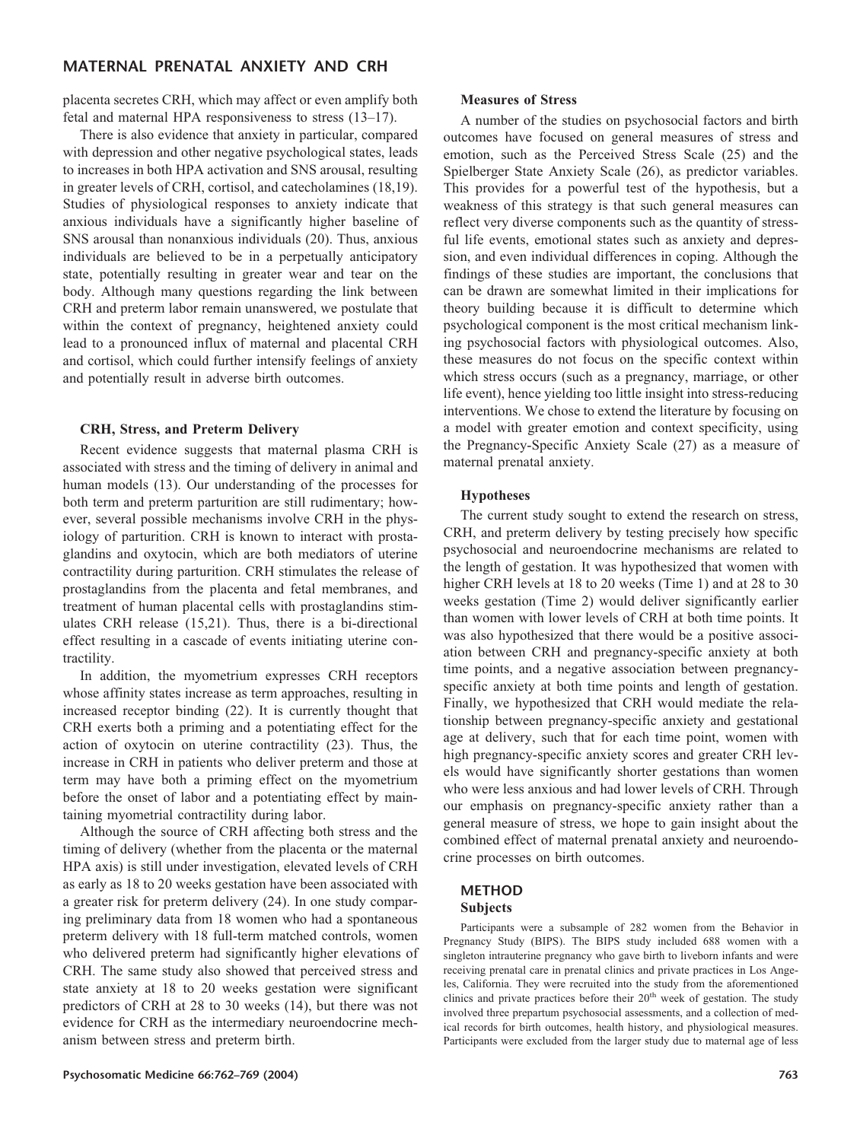## **MATERNAL PRENATAL ANXIETY AND CRH**

placenta secretes CRH, which may affect or even amplify both fetal and maternal HPA responsiveness to stress (13–17).

There is also evidence that anxiety in particular, compared with depression and other negative psychological states, leads to increases in both HPA activation and SNS arousal, resulting in greater levels of CRH, cortisol, and catecholamines (18,19). Studies of physiological responses to anxiety indicate that anxious individuals have a significantly higher baseline of SNS arousal than nonanxious individuals (20). Thus, anxious individuals are believed to be in a perpetually anticipatory state, potentially resulting in greater wear and tear on the body. Although many questions regarding the link between CRH and preterm labor remain unanswered, we postulate that within the context of pregnancy, heightened anxiety could lead to a pronounced influx of maternal and placental CRH and cortisol, which could further intensify feelings of anxiety and potentially result in adverse birth outcomes.

### **CRH, Stress, and Preterm Delivery**

Recent evidence suggests that maternal plasma CRH is associated with stress and the timing of delivery in animal and human models (13). Our understanding of the processes for both term and preterm parturition are still rudimentary; however, several possible mechanisms involve CRH in the physiology of parturition. CRH is known to interact with prostaglandins and oxytocin, which are both mediators of uterine contractility during parturition. CRH stimulates the release of prostaglandins from the placenta and fetal membranes, and treatment of human placental cells with prostaglandins stimulates CRH release (15,21). Thus, there is a bi-directional effect resulting in a cascade of events initiating uterine contractility.

In addition, the myometrium expresses CRH receptors whose affinity states increase as term approaches, resulting in increased receptor binding (22). It is currently thought that CRH exerts both a priming and a potentiating effect for the action of oxytocin on uterine contractility (23). Thus, the increase in CRH in patients who deliver preterm and those at term may have both a priming effect on the myometrium before the onset of labor and a potentiating effect by maintaining myometrial contractility during labor.

Although the source of CRH affecting both stress and the timing of delivery (whether from the placenta or the maternal HPA axis) is still under investigation, elevated levels of CRH as early as 18 to 20 weeks gestation have been associated with a greater risk for preterm delivery (24). In one study comparing preliminary data from 18 women who had a spontaneous preterm delivery with 18 full-term matched controls, women who delivered preterm had significantly higher elevations of CRH. The same study also showed that perceived stress and state anxiety at 18 to 20 weeks gestation were significant predictors of CRH at 28 to 30 weeks (14), but there was not evidence for CRH as the intermediary neuroendocrine mechanism between stress and preterm birth.

#### **Measures of Stress**

A number of the studies on psychosocial factors and birth outcomes have focused on general measures of stress and emotion, such as the Perceived Stress Scale (25) and the Spielberger State Anxiety Scale (26), as predictor variables. This provides for a powerful test of the hypothesis, but a weakness of this strategy is that such general measures can reflect very diverse components such as the quantity of stressful life events, emotional states such as anxiety and depression, and even individual differences in coping. Although the findings of these studies are important, the conclusions that can be drawn are somewhat limited in their implications for theory building because it is difficult to determine which psychological component is the most critical mechanism linking psychosocial factors with physiological outcomes. Also, these measures do not focus on the specific context within which stress occurs (such as a pregnancy, marriage, or other life event), hence yielding too little insight into stress-reducing interventions. We chose to extend the literature by focusing on a model with greater emotion and context specificity, using the Pregnancy-Specific Anxiety Scale (27) as a measure of maternal prenatal anxiety.

#### **Hypotheses**

The current study sought to extend the research on stress, CRH, and preterm delivery by testing precisely how specific psychosocial and neuroendocrine mechanisms are related to the length of gestation. It was hypothesized that women with higher CRH levels at 18 to 20 weeks (Time 1) and at 28 to 30 weeks gestation (Time 2) would deliver significantly earlier than women with lower levels of CRH at both time points. It was also hypothesized that there would be a positive association between CRH and pregnancy-specific anxiety at both time points, and a negative association between pregnancyspecific anxiety at both time points and length of gestation. Finally, we hypothesized that CRH would mediate the relationship between pregnancy-specific anxiety and gestational age at delivery, such that for each time point, women with high pregnancy-specific anxiety scores and greater CRH levels would have significantly shorter gestations than women who were less anxious and had lower levels of CRH. Through our emphasis on pregnancy-specific anxiety rather than a general measure of stress, we hope to gain insight about the combined effect of maternal prenatal anxiety and neuroendocrine processes on birth outcomes.

#### **METHOD**

#### **Subjects**

Participants were a subsample of 282 women from the Behavior in Pregnancy Study (BIPS). The BIPS study included 688 women with a singleton intrauterine pregnancy who gave birth to liveborn infants and were receiving prenatal care in prenatal clinics and private practices in Los Angeles, California. They were recruited into the study from the aforementioned clinics and private practices before their 20<sup>th</sup> week of gestation. The study involved three prepartum psychosocial assessments, and a collection of medical records for birth outcomes, health history, and physiological measures. Participants were excluded from the larger study due to maternal age of less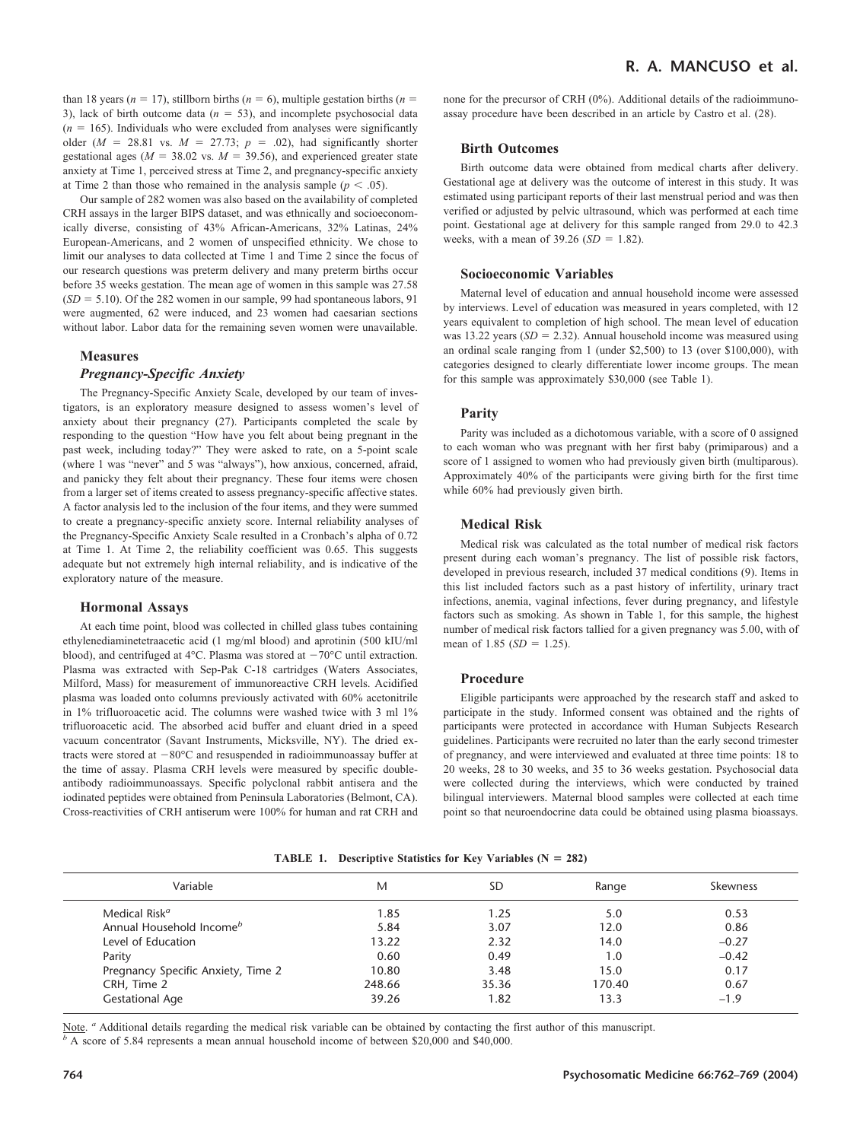than 18 years ( $n = 17$ ), stillborn births ( $n = 6$ ), multiple gestation births ( $n =$ 3), lack of birth outcome data  $(n = 53)$ , and incomplete psychosocial data  $(n = 165)$ . Individuals who were excluded from analyses were significantly older  $(M = 28.81$  vs.  $M = 27.73$ ;  $p = .02$ ), had significantly shorter gestational ages ( $M = 38.02$  vs.  $M = 39.56$ ), and experienced greater state anxiety at Time 1, perceived stress at Time 2, and pregnancy-specific anxiety at Time 2 than those who remained in the analysis sample  $(p < .05)$ .

Our sample of 282 women was also based on the availability of completed CRH assays in the larger BIPS dataset, and was ethnically and socioeconomically diverse, consisting of 43% African-Americans, 32% Latinas, 24% European-Americans, and 2 women of unspecified ethnicity. We chose to limit our analyses to data collected at Time 1 and Time 2 since the focus of our research questions was preterm delivery and many preterm births occur before 35 weeks gestation. The mean age of women in this sample was 27.58  $(SD = 5.10)$ . Of the 282 women in our sample, 99 had spontaneous labors, 91 were augmented, 62 were induced, and 23 women had caesarian sections without labor. Labor data for the remaining seven women were unavailable.

#### **Measures**

#### *Pregnancy-Specific Anxiety*

The Pregnancy-Specific Anxiety Scale, developed by our team of investigators, is an exploratory measure designed to assess women's level of anxiety about their pregnancy (27). Participants completed the scale by responding to the question "How have you felt about being pregnant in the past week, including today?" They were asked to rate, on a 5-point scale (where 1 was "never" and 5 was "always"), how anxious, concerned, afraid, and panicky they felt about their pregnancy. These four items were chosen from a larger set of items created to assess pregnancy-specific affective states. A factor analysis led to the inclusion of the four items, and they were summed to create a pregnancy-specific anxiety score. Internal reliability analyses of the Pregnancy-Specific Anxiety Scale resulted in a Cronbach's alpha of 0.72 at Time 1. At Time 2, the reliability coefficient was 0.65. This suggests adequate but not extremely high internal reliability, and is indicative of the exploratory nature of the measure.

#### **Hormonal Assays**

At each time point, blood was collected in chilled glass tubes containing ethylenediaminetetraacetic acid (1 mg/ml blood) and aprotinin (500 kIU/ml blood), and centrifuged at 4°C. Plasma was stored at  $-70$ °C until extraction. Plasma was extracted with Sep-Pak C-18 cartridges (Waters Associates, Milford, Mass) for measurement of immunoreactive CRH levels. Acidified plasma was loaded onto columns previously activated with 60% acetonitrile in 1% trifluoroacetic acid. The columns were washed twice with 3 ml 1% trifluoroacetic acid. The absorbed acid buffer and eluant dried in a speed vacuum concentrator (Savant Instruments, Micksville, NY). The dried extracts were stored at  $-80^{\circ}$ C and resuspended in radioimmunoassay buffer at the time of assay. Plasma CRH levels were measured by specific doubleantibody radioimmunoassays. Specific polyclonal rabbit antisera and the iodinated peptides were obtained from Peninsula Laboratories (Belmont, CA). Cross-reactivities of CRH antiserum were 100% for human and rat CRH and none for the precursor of CRH (0%). Additional details of the radioimmunoassay procedure have been described in an article by Castro et al. (28).

#### **Birth Outcomes**

Birth outcome data were obtained from medical charts after delivery. Gestational age at delivery was the outcome of interest in this study. It was estimated using participant reports of their last menstrual period and was then verified or adjusted by pelvic ultrasound, which was performed at each time point. Gestational age at delivery for this sample ranged from 29.0 to 42.3 weeks, with a mean of  $39.26$  (*SD* = 1.82).

#### **Socioeconomic Variables**

Maternal level of education and annual household income were assessed by interviews. Level of education was measured in years completed, with 12 years equivalent to completion of high school. The mean level of education was 13.22 years  $(SD = 2.32)$ . Annual household income was measured using an ordinal scale ranging from 1 (under \$2,500) to 13 (over \$100,000), with categories designed to clearly differentiate lower income groups. The mean for this sample was approximately \$30,000 (see Table 1).

#### **Parity**

Parity was included as a dichotomous variable, with a score of 0 assigned to each woman who was pregnant with her first baby (primiparous) and a score of 1 assigned to women who had previously given birth (multiparous). Approximately 40% of the participants were giving birth for the first time while 60% had previously given birth.

#### **Medical Risk**

Medical risk was calculated as the total number of medical risk factors present during each woman's pregnancy. The list of possible risk factors, developed in previous research, included 37 medical conditions (9). Items in this list included factors such as a past history of infertility, urinary tract infections, anemia, vaginal infections, fever during pregnancy, and lifestyle factors such as smoking. As shown in Table 1, for this sample, the highest number of medical risk factors tallied for a given pregnancy was 5.00, with of mean of 1.85  $(SD = 1.25)$ .

#### **Procedure**

Eligible participants were approached by the research staff and asked to participate in the study. Informed consent was obtained and the rights of participants were protected in accordance with Human Subjects Research guidelines. Participants were recruited no later than the early second trimester of pregnancy, and were interviewed and evaluated at three time points: 18 to 20 weeks, 28 to 30 weeks, and 35 to 36 weeks gestation. Psychosocial data were collected during the interviews, which were conducted by trained bilingual interviewers. Maternal blood samples were collected at each time point so that neuroendocrine data could be obtained using plasma bioassays.

|  | <b>TABLE 1.</b> Descriptive Statistics for Key Variables ( $N = 282$ ) |  |  |  |  |  |
|--|------------------------------------------------------------------------|--|--|--|--|--|
|--|------------------------------------------------------------------------|--|--|--|--|--|

| Variable                             | M      | SD    | Range  | <b>Skewness</b> |
|--------------------------------------|--------|-------|--------|-----------------|
| Medical Risk <sup>a</sup>            | 1.85   | 1.25  | 5.0    | 0.53            |
| Annual Household Income <sup>b</sup> | 5.84   | 3.07  | 12.0   | 0.86            |
| Level of Education                   | 13.22  | 2.32  | 14.0   | $-0.27$         |
| Parity                               | 0.60   | 0.49  | 1.0    | $-0.42$         |
| Pregnancy Specific Anxiety, Time 2   | 10.80  | 3.48  | 15.0   | 0.17            |
| CRH, Time 2                          | 248.66 | 35.36 | 170.40 | 0.67            |
| <b>Gestational Age</b>               | 39.26  | 1.82  | 13.3   | $-1.9$          |

Note. <sup>*a*</sup> Additional details regarding the medical risk variable can be obtained by contacting the first author of this manuscript.

*<sup>b</sup>* A score of 5.84 represents a mean annual household income of between \$20,000 and \$40,000.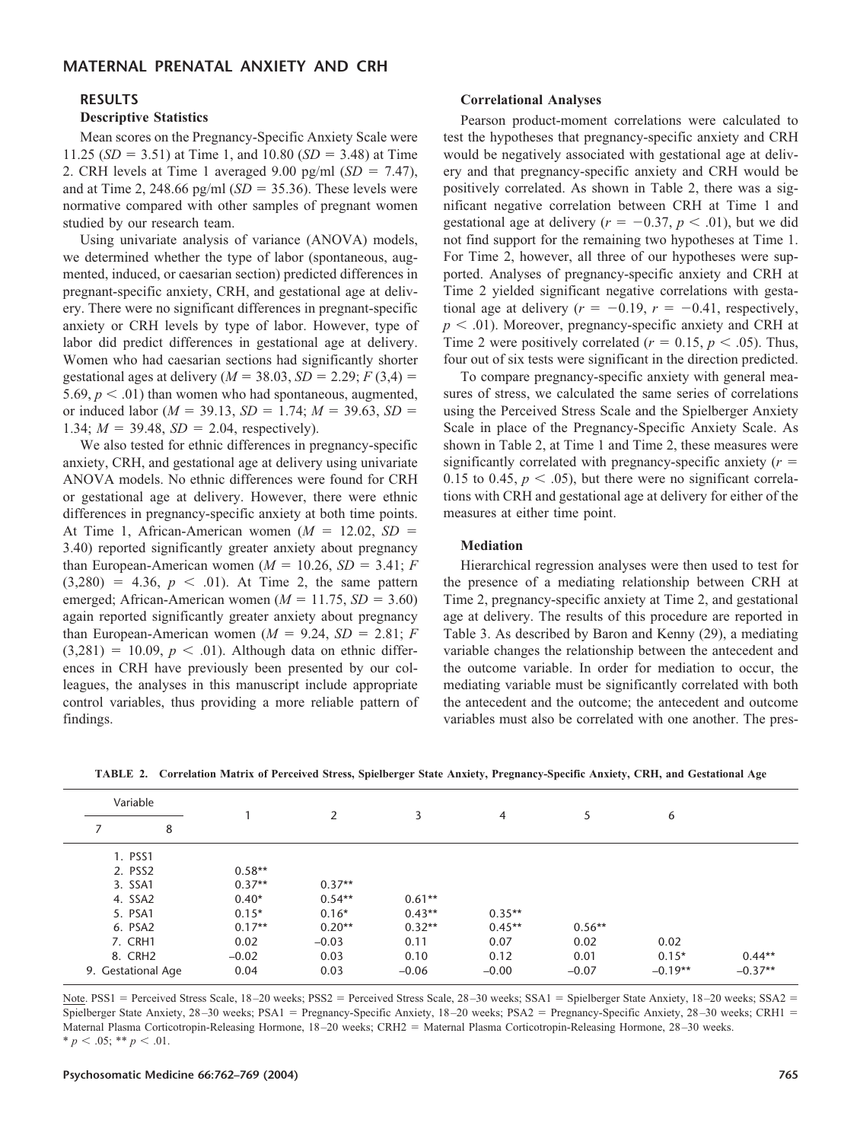## **RESULTS**

## **Descriptive Statistics**

Mean scores on the Pregnancy-Specific Anxiety Scale were 11.25 ( $SD = 3.51$ ) at Time 1, and 10.80 ( $SD = 3.48$ ) at Time 2. CRH levels at Time 1 averaged  $9.00$  pg/ml  $(SD = 7.47)$ , and at Time 2, 248.66 pg/ml  $(SD = 35.36)$ . These levels were normative compared with other samples of pregnant women studied by our research team.

Using univariate analysis of variance (ANOVA) models, we determined whether the type of labor (spontaneous, augmented, induced, or caesarian section) predicted differences in pregnant-specific anxiety, CRH, and gestational age at delivery. There were no significant differences in pregnant-specific anxiety or CRH levels by type of labor. However, type of labor did predict differences in gestational age at delivery. Women who had caesarian sections had significantly shorter gestational ages at delivery ( $M = 38.03$ ,  $SD = 2.29$ ;  $F(3,4) =$ 5.69,  $p < .01$ ) than women who had spontaneous, augmented, or induced labor ( $M = 39.13$ ,  $SD = 1.74$ ;  $M = 39.63$ ,  $SD =$ 1.34;  $M = 39.48$ ,  $SD = 2.04$ , respectively).

We also tested for ethnic differences in pregnancy-specific anxiety, CRH, and gestational age at delivery using univariate ANOVA models. No ethnic differences were found for CRH or gestational age at delivery. However, there were ethnic differences in pregnancy-specific anxiety at both time points. At Time 1, African-American women  $(M = 12.02, SD =$ 3.40) reported significantly greater anxiety about pregnancy than European-American women  $(M = 10.26, SD = 3.41; F$  $(3,280) = 4.36, p < .01$ . At Time 2, the same pattern emerged; African-American women  $(M = 11.75, SD = 3.60)$ again reported significantly greater anxiety about pregnancy than European-American women  $(M = 9.24, SD = 2.81; F)$  $(3,281) = 10.09, p < .01$ . Although data on ethnic differences in CRH have previously been presented by our colleagues, the analyses in this manuscript include appropriate control variables, thus providing a more reliable pattern of findings.

#### **Correlational Analyses**

Pearson product-moment correlations were calculated to test the hypotheses that pregnancy-specific anxiety and CRH would be negatively associated with gestational age at delivery and that pregnancy-specific anxiety and CRH would be positively correlated. As shown in Table 2, there was a significant negative correlation between CRH at Time 1 and gestational age at delivery ( $r = -0.37$ ,  $p < .01$ ), but we did not find support for the remaining two hypotheses at Time 1. For Time 2, however, all three of our hypotheses were supported. Analyses of pregnancy-specific anxiety and CRH at Time 2 yielded significant negative correlations with gestational age at delivery  $(r = -0.19, r = -0.41,$  respectively,  $p < .01$ ). Moreover, pregnancy-specific anxiety and CRH at Time 2 were positively correlated ( $r = 0.15$ ,  $p < .05$ ). Thus, four out of six tests were significant in the direction predicted.

To compare pregnancy-specific anxiety with general measures of stress, we calculated the same series of correlations using the Perceived Stress Scale and the Spielberger Anxiety Scale in place of the Pregnancy-Specific Anxiety Scale. As shown in Table 2, at Time 1 and Time 2, these measures were significantly correlated with pregnancy-specific anxiety  $(r =$ 0.15 to 0.45,  $p < .05$ ), but there were no significant correlations with CRH and gestational age at delivery for either of the measures at either time point.

## **Mediation**

Hierarchical regression analyses were then used to test for the presence of a mediating relationship between CRH at Time 2, pregnancy-specific anxiety at Time 2, and gestational age at delivery. The results of this procedure are reported in Table 3. As described by Baron and Kenny (29), a mediating variable changes the relationship between the antecedent and the outcome variable. In order for mediation to occur, the mediating variable must be significantly correlated with both the antecedent and the outcome; the antecedent and outcome variables must also be correlated with one another. The pres-

**TABLE 2. Correlation Matrix of Perceived Stress, Spielberger State Anxiety, Pregnancy-Specific Anxiety, CRH, and Gestational Age**

| Variable           | 2        |          | 3        | $\overline{4}$ |          |           |           |
|--------------------|----------|----------|----------|----------------|----------|-----------|-----------|
| 8                  |          |          |          |                | 5        | 6         |           |
| 1. PSS1            |          |          |          |                |          |           |           |
| 2. PSS2            | $0.58**$ |          |          |                |          |           |           |
| 3. SSA1            | $0.37**$ | $0.37**$ |          |                |          |           |           |
| 4. SSA2            | $0.40*$  | $0.54**$ | $0.61**$ |                |          |           |           |
| 5. PSA1            | $0.15*$  | $0.16*$  | $0.43**$ | $0.35**$       |          |           |           |
| 6. PSA2            | $0.17**$ | $0.20**$ | $0.32**$ | $0.45**$       | $0.56**$ |           |           |
| 7. CRH1            | 0.02     | $-0.03$  | 0.11     | 0.07           | 0.02     | 0.02      |           |
| 8. CRH2            | $-0.02$  | 0.03     | 0.10     | 0.12           | 0.01     | $0.15*$   | $0.44**$  |
| 9. Gestational Age | 0.04     | 0.03     | $-0.06$  | $-0.00$        | $-0.07$  | $-0.19**$ | $-0.37**$ |

Note. PSS1 = Perceived Stress Scale, 18-20 weeks; PSS2 = Perceived Stress Scale, 28-30 weeks; SSA1 = Spielberger State Anxiety, 18-20 weeks; SSA2 = Spielberger State Anxiety, 28–30 weeks; PSA1 = Pregnancy-Specific Anxiety, 18–20 weeks; PSA2 = Pregnancy-Specific Anxiety, 28–30 weeks; CRH1 = Maternal Plasma Corticotropin-Releasing Hormone, 18-20 weeks; CRH2 = Maternal Plasma Corticotropin-Releasing Hormone, 28-30 weeks.  $* p < .05; ** p < .01.$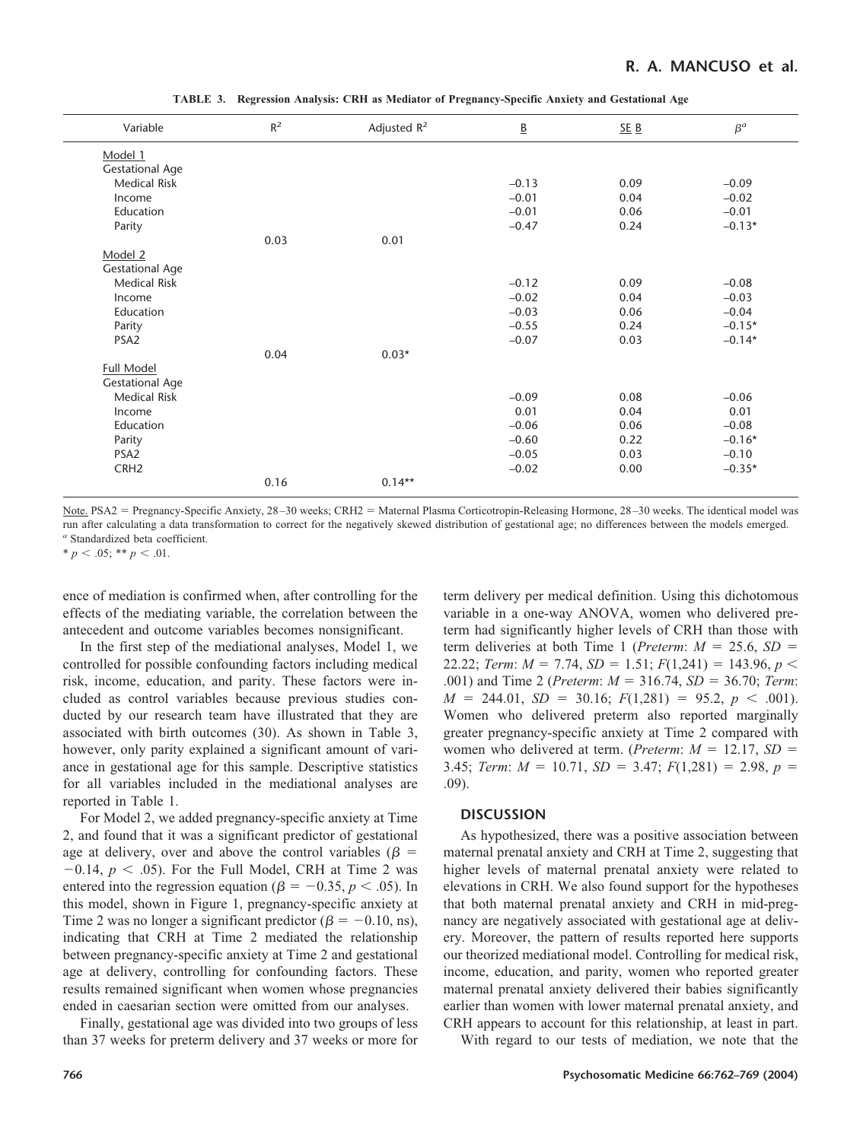| Variable               | $\mathsf{R}^2$ | Adjusted $R^2$ | $\underline{\mathsf{B}}$ | SEB  | $\beta^a$ |
|------------------------|----------------|----------------|--------------------------|------|-----------|
| Model 1                |                |                |                          |      |           |
| <b>Gestational Age</b> |                |                |                          |      |           |
| <b>Medical Risk</b>    |                |                | $-0.13$                  | 0.09 | $-0.09$   |
| Income                 |                |                | $-0.01$                  | 0.04 | $-0.02$   |
| Education              |                |                | $-0.01$                  | 0.06 | $-0.01$   |
| Parity                 |                |                | $-0.47$                  | 0.24 | $-0.13*$  |
|                        | 0.03           | 0.01           |                          |      |           |
| Model 2                |                |                |                          |      |           |
| <b>Gestational Age</b> |                |                |                          |      |           |
| <b>Medical Risk</b>    |                |                | $-0.12$                  | 0.09 | $-0.08$   |
| Income                 |                |                | $-0.02$                  | 0.04 | $-0.03$   |
| Education              |                |                | $-0.03$                  | 0.06 | $-0.04$   |
| Parity                 |                |                | $-0.55$                  | 0.24 | $-0.15*$  |
| PSA <sub>2</sub>       |                |                | $-0.07$                  | 0.03 | $-0.14*$  |
|                        | 0.04           | $0.03*$        |                          |      |           |
| Full Model             |                |                |                          |      |           |
| <b>Gestational Age</b> |                |                |                          |      |           |
| <b>Medical Risk</b>    |                |                | $-0.09$                  | 0.08 | $-0.06$   |
| Income                 |                |                | 0.01                     | 0.04 | 0.01      |
| Education              |                |                | $-0.06$                  | 0.06 | $-0.08$   |
| Parity                 |                |                | $-0.60$                  | 0.22 | $-0.16*$  |
| PSA <sub>2</sub>       |                |                | $-0.05$                  | 0.03 | $-0.10$   |
| CRH <sub>2</sub>       |                |                | $-0.02$                  | 0.00 | $-0.35*$  |
|                        | 0.16           | $0.14**$       |                          |      |           |

**TABLE 3. Regression Analysis: CRH as Mediator of Pregnancy-Specific Anxiety and Gestational Age**

Note, PSA2 = Pregnancy-Specific Anxiety, 28-30 weeks; CRH2 = Maternal Plasma Corticotropin-Releasing Hormone, 28-30 weeks. The identical model was run after calculating a data transformation to correct for the negatively skewed distribution of gestational age; no differences between the models emerged. *<sup>a</sup>* Standardized beta coefficient.

 $* p < .05; ** p < .01.$ 

ence of mediation is confirmed when, after controlling for the effects of the mediating variable, the correlation between the antecedent and outcome variables becomes nonsignificant.

In the first step of the mediational analyses, Model 1, we controlled for possible confounding factors including medical risk, income, education, and parity. These factors were included as control variables because previous studies conducted by our research team have illustrated that they are associated with birth outcomes (30). As shown in Table 3, however, only parity explained a significant amount of variance in gestational age for this sample. Descriptive statistics for all variables included in the mediational analyses are reported in Table 1.

For Model 2, we added pregnancy-specific anxiety at Time 2, and found that it was a significant predictor of gestational age at delivery, over and above the control variables ( $\beta$  =  $-0.14$ ,  $p < .05$ ). For the Full Model, CRH at Time 2 was entered into the regression equation ( $\beta = -0.35, p < .05$ ). In this model, shown in Figure 1, pregnancy-specific anxiety at Time 2 was no longer a significant predictor ( $\beta = -0.10$ , ns), indicating that CRH at Time 2 mediated the relationship between pregnancy-specific anxiety at Time 2 and gestational age at delivery, controlling for confounding factors. These results remained significant when women whose pregnancies ended in caesarian section were omitted from our analyses.

Finally, gestational age was divided into two groups of less than 37 weeks for preterm delivery and 37 weeks or more for term delivery per medical definition. Using this dichotomous variable in a one-way ANOVA, women who delivered preterm had significantly higher levels of CRH than those with term deliveries at both Time 1 (*Preterm*:  $M = 25.6$ ,  $SD =$ 22.22; *Term*:  $M = 7.74$ ,  $SD = 1.51$ ;  $F(1,241) = 143.96$ ,  $p <$ .001) and Time 2 (*Preterm*: *M* - 316.74, *SD* - 36.70; *Term*:  $M = 244.01$ ,  $SD = 30.16$ ;  $F(1,281) = 95.2$ ,  $p < .001$ ). Women who delivered preterm also reported marginally greater pregnancy-specific anxiety at Time 2 compared with women who delivered at term. (*Preterm*:  $M = 12.17$ ,  $SD =$ 3.45; *Term*:  $M = 10.71$ ,  $SD = 3.47$ ;  $F(1,281) = 2.98$ ,  $p =$ .09).

#### **DISCUSSION**

As hypothesized, there was a positive association between maternal prenatal anxiety and CRH at Time 2, suggesting that higher levels of maternal prenatal anxiety were related to elevations in CRH. We also found support for the hypotheses that both maternal prenatal anxiety and CRH in mid-pregnancy are negatively associated with gestational age at delivery. Moreover, the pattern of results reported here supports our theorized mediational model. Controlling for medical risk, income, education, and parity, women who reported greater maternal prenatal anxiety delivered their babies significantly earlier than women with lower maternal prenatal anxiety, and CRH appears to account for this relationship, at least in part.

With regard to our tests of mediation, we note that the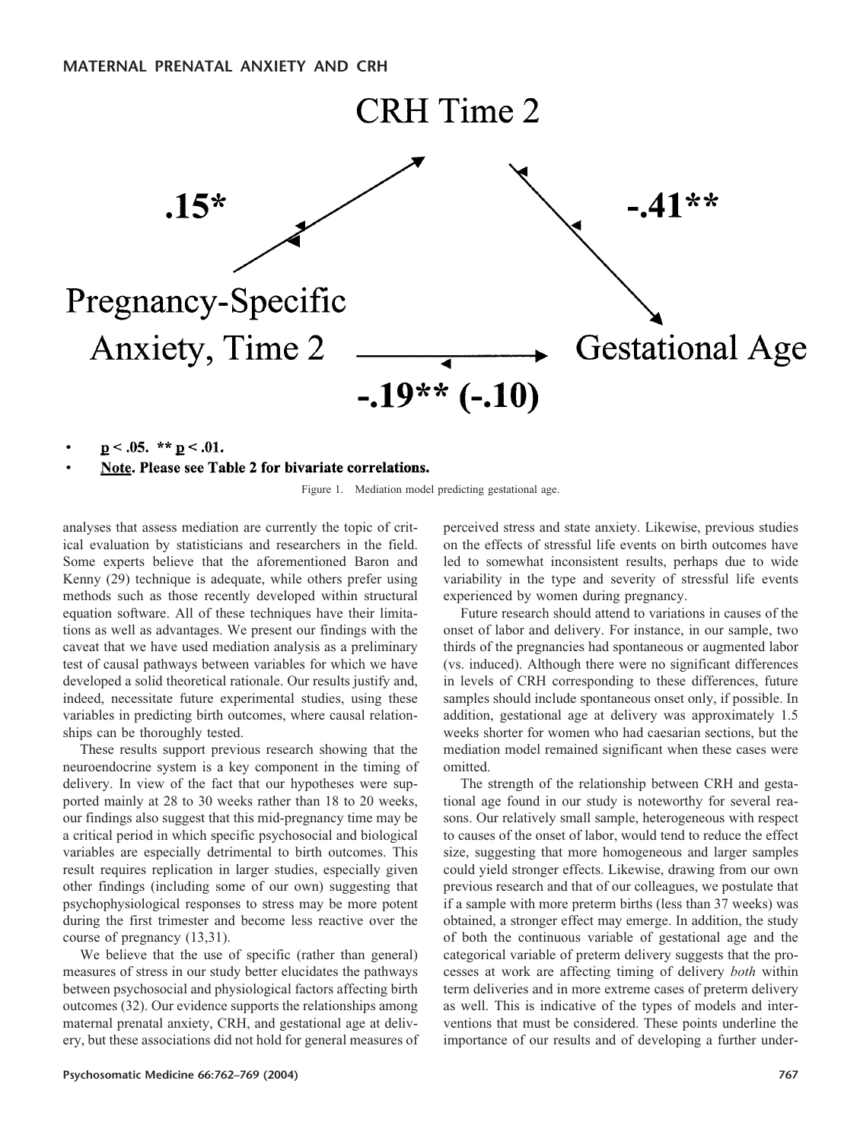

## $\underline{\mathbf{p}}$  < .05. \*\*  $\underline{\mathbf{p}}$  < .01.

# Note. Please see Table 2 for bivariate correlations.

Figure 1. Mediation model predicting gestational age.

analyses that assess mediation are currently the topic of critical evaluation by statisticians and researchers in the field. Some experts believe that the aforementioned Baron and Kenny (29) technique is adequate, while others prefer using methods such as those recently developed within structural equation software. All of these techniques have their limitations as well as advantages. We present our findings with the caveat that we have used mediation analysis as a preliminary test of causal pathways between variables for which we have developed a solid theoretical rationale. Our results justify and, indeed, necessitate future experimental studies, using these variables in predicting birth outcomes, where causal relationships can be thoroughly tested.

These results support previous research showing that the neuroendocrine system is a key component in the timing of delivery. In view of the fact that our hypotheses were supported mainly at 28 to 30 weeks rather than 18 to 20 weeks, our findings also suggest that this mid-pregnancy time may be a critical period in which specific psychosocial and biological variables are especially detrimental to birth outcomes. This result requires replication in larger studies, especially given other findings (including some of our own) suggesting that psychophysiological responses to stress may be more potent during the first trimester and become less reactive over the course of pregnancy (13,31).

We believe that the use of specific (rather than general) measures of stress in our study better elucidates the pathways between psychosocial and physiological factors affecting birth outcomes (32). Our evidence supports the relationships among maternal prenatal anxiety, CRH, and gestational age at delivery, but these associations did not hold for general measures of perceived stress and state anxiety. Likewise, previous studies on the effects of stressful life events on birth outcomes have led to somewhat inconsistent results, perhaps due to wide variability in the type and severity of stressful life events experienced by women during pregnancy.

Future research should attend to variations in causes of the onset of labor and delivery. For instance, in our sample, two thirds of the pregnancies had spontaneous or augmented labor (vs. induced). Although there were no significant differences in levels of CRH corresponding to these differences, future samples should include spontaneous onset only, if possible. In addition, gestational age at delivery was approximately 1.5 weeks shorter for women who had caesarian sections, but the mediation model remained significant when these cases were omitted.

The strength of the relationship between CRH and gestational age found in our study is noteworthy for several reasons. Our relatively small sample, heterogeneous with respect to causes of the onset of labor, would tend to reduce the effect size, suggesting that more homogeneous and larger samples could yield stronger effects. Likewise, drawing from our own previous research and that of our colleagues, we postulate that if a sample with more preterm births (less than 37 weeks) was obtained, a stronger effect may emerge. In addition, the study of both the continuous variable of gestational age and the categorical variable of preterm delivery suggests that the processes at work are affecting timing of delivery *both* within term deliveries and in more extreme cases of preterm delivery as well. This is indicative of the types of models and interventions that must be considered. These points underline the importance of our results and of developing a further under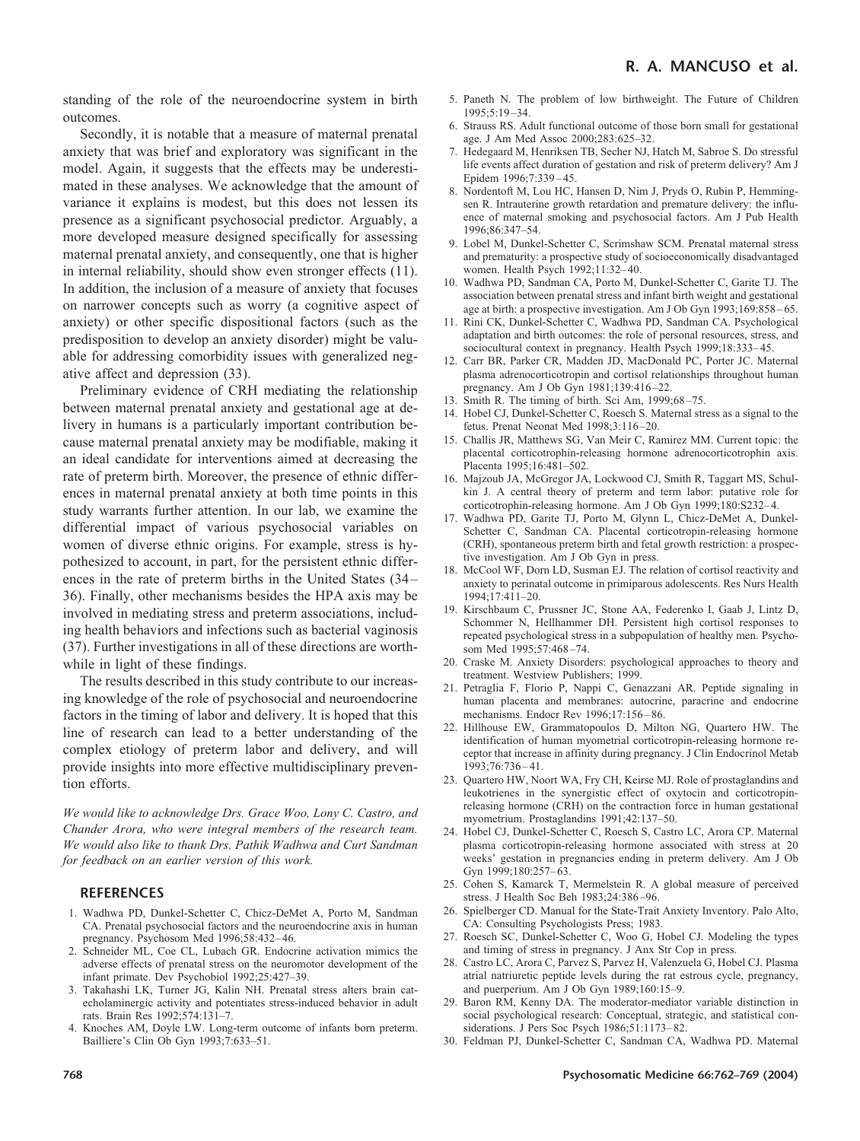standing of the role of the neuroendocrine system in birth outcomes.

Secondly, it is notable that a measure of maternal prenatal anxiety that was brief and exploratory was significant in the model. Again, it suggests that the effects may be underestimated in these analyses. We acknowledge that the amount of variance it explains is modest, but this does not lessen its presence as a significant psychosocial predictor. Arguably, a more developed measure designed specifically for assessing maternal prenatal anxiety, and consequently, one that is higher in internal reliability, should show even stronger effects (11). In addition, the inclusion of a measure of anxiety that focuses on narrower concepts such as worry (a cognitive aspect of anxiety) or other specific dispositional factors (such as the predisposition to develop an anxiety disorder) might be valuable for addressing comorbidity issues with generalized negative affect and depression (33).

Preliminary evidence of CRH mediating the relationship between maternal prenatal anxiety and gestational age at delivery in humans is a particularly important contribution because maternal prenatal anxiety may be modifiable, making it an ideal candidate for interventions aimed at decreasing the rate of preterm birth. Moreover, the presence of ethnic differences in maternal prenatal anxiety at both time points in this study warrants further attention. In our lab, we examine the differential impact of various psychosocial variables on women of diverse ethnic origins. For example, stress is hypothesized to account, in part, for the persistent ethnic differences in the rate of preterm births in the United States (34– 36). Finally, other mechanisms besides the HPA axis may be involved in mediating stress and preterm associations, including health behaviors and infections such as bacterial vaginosis (37). Further investigations in all of these directions are worthwhile in light of these findings.

The results described in this study contribute to our increasing knowledge of the role of psychosocial and neuroendocrine factors in the timing of labor and delivery. It is hoped that this line of research can lead to a better understanding of the complex etiology of preterm labor and delivery, and will provide insights into more effective multidisciplinary prevention efforts.

*We would like to acknowledge Drs. Grace Woo, Lony C. Castro, and Chander Arora, who were integral members of the research team. We would also like to thank Drs. Pathik Wadhwa and Curt Sandman for feedback on an earlier version of this work.*

#### **REFERENCES**

- 1. Wadhwa PD, Dunkel-Schetter C, Chicz-DeMet A, Porto M, Sandman CA. Prenatal psychosocial factors and the neuroendocrine axis in human pregnancy. Psychosom Med 1996;58:432–46.
- 2. Schneider ML, Coe CL, Lubach GR. Endocrine activation mimics the adverse effects of prenatal stress on the neuromotor development of the infant primate. Dev Psychobiol 1992;25:427–39.
- 3. Takahashi LK, Turner JG, Kalin NH. Prenatal stress alters brain catecholaminergic activity and potentiates stress-induced behavior in adult rats. Brain Res 1992;574:131–7.
- 4. Knoches AM, Doyle LW. Long-term outcome of infants born preterm. Bailliere's Clin Ob Gyn 1993;7:633–51.
- 5. Paneth N. The problem of low birthweight. The Future of Children 1995;5:19–34.
- 6. Strauss RS. Adult functional outcome of those born small for gestational age. J Am Med Assoc 2000;283:625–32.
- 7. Hedegaard M, Henriksen TB, Secher NJ, Hatch M, Sabroe S. Do stressful life events affect duration of gestation and risk of preterm delivery? Am J Epidem 1996;7:339–45.
- 8. Nordentoft M, Lou HC, Hansen D, Nim J, Pryds O, Rubin P, Hemmingsen R. Intrauterine growth retardation and premature delivery: the influence of maternal smoking and psychosocial factors. Am J Pub Health 1996;86:347–54.
- 9. Lobel M, Dunkel-Schetter C, Scrimshaw SCM. Prenatal maternal stress and prematurity: a prospective study of socioeconomically disadvantaged women. Health Psych 1992;11:32–40.
- 10. Wadhwa PD, Sandman CA, Porto M, Dunkel-Schetter C, Garite TJ. The association between prenatal stress and infant birth weight and gestational age at birth: a prospective investigation. Am J Ob Gyn 1993;169:858–65.
- 11. Rini CK, Dunkel-Schetter C, Wadhwa PD, Sandman CA. Psychological adaptation and birth outcomes: the role of personal resources, stress, and sociocultural context in pregnancy. Health Psych 1999;18:333–45.
- 12. Carr BR, Parker CR, Madden JD, MacDonald PC, Porter JC. Maternal plasma adrenocorticotropin and cortisol relationships throughout human pregnancy. Am J Ob Gyn 1981;139:416–22.
- 13. Smith R. The timing of birth. Sci Am, 1999;68–75.
- 14. Hobel CJ, Dunkel-Schetter C, Roesch S. Maternal stress as a signal to the fetus. Prenat Neonat Med 1998;3:116–20.
- 15. Challis JR, Matthews SG, Van Meir C, Ramirez MM. Current topic: the placental corticotrophin-releasing hormone adrenocorticotrophin axis. Placenta 1995;16:481–502.
- 16. Majzoub JA, McGregor JA, Lockwood CJ, Smith R, Taggart MS, Schulkin J. A central theory of preterm and term labor: putative role for corticotrophin-releasing hormone. Am J Ob Gyn 1999;180:S232–4.
- 17. Wadhwa PD, Garite TJ, Porto M, Glynn L, Chicz-DeMet A, Dunkel-Schetter C, Sandman CA. Placental corticotropin-releasing hormone (CRH), spontaneous preterm birth and fetal growth restriction: a prospective investigation. Am J Ob Gyn in press.
- 18. McCool WF, Dorn LD, Susman EJ. The relation of cortisol reactivity and anxiety to perinatal outcome in primiparous adolescents. Res Nurs Health 1994;17:411–20.
- 19. Kirschbaum C, Prussner JC, Stone AA, Federenko I, Gaab J, Lintz D, Schommer N, Hellhammer DH. Persistent high cortisol responses to repeated psychological stress in a subpopulation of healthy men. Psychosom Med 1995;57:468–74.
- 20. Craske M. Anxiety Disorders: psychological approaches to theory and treatment. Westview Publishers; 1999.
- 21. Petraglia F, Florio P, Nappi C, Genazzani AR. Peptide signaling in human placenta and membranes: autocrine, paracrine and endocrine mechanisms. Endocr Rev 1996;17:156–86.
- 22. Hillhouse EW, Grammatopoulos D, Milton NG, Quartero HW. The identification of human myometrial corticotropin-releasing hormone receptor that increase in affinity during pregnancy. J Clin Endocrinol Metab 1993;76:736–41.
- 23. Quartero HW, Noort WA, Fry CH, Keirse MJ. Role of prostaglandins and leukotrienes in the synergistic effect of oxytocin and corticotropinreleasing hormone (CRH) on the contraction force in human gestational myometrium. Prostaglandins 1991;42:137–50.
- 24. Hobel CJ, Dunkel-Schetter C, Roesch S, Castro LC, Arora CP. Maternal plasma corticotropin-releasing hormone associated with stress at 20 weeks' gestation in pregnancies ending in preterm delivery. Am J Ob Gyn 1999;180:257–63.
- 25. Cohen S, Kamarck T, Mermelstein R. A global measure of perceived stress. J Health Soc Beh 1983;24:386–96.
- 26. Spielberger CD. Manual for the State-Trait Anxiety Inventory. Palo Alto, CA: Consulting Psychologists Press; 1983.
- 27. Roesch SC, Dunkel-Schetter C, Woo G, Hobel CJ. Modeling the types and timing of stress in pregnancy. J Anx Str Cop in press.
- 28. Castro LC, Arora C, Parvez S, Parvez H, Valenzuela G, Hobel CJ. Plasma atrial natriuretic peptide levels during the rat estrous cycle, pregnancy, and puerperium. Am J Ob Gyn 1989;160:15–9.
- 29. Baron RM, Kenny DA. The moderator-mediator variable distinction in social psychological research: Conceptual, strategic, and statistical considerations. J Pers Soc Psych 1986;51:1173–82.
- 30. Feldman PJ, Dunkel-Schetter C, Sandman CA, Wadhwa PD. Maternal